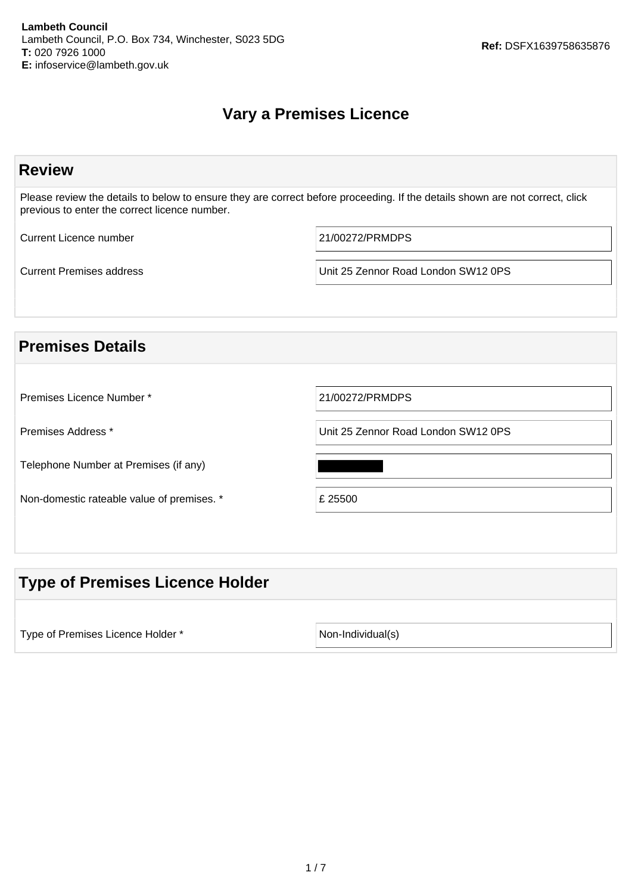# **Vary a Premises Licence**

| <b>Review</b>                                 |                                                                                                                              |
|-----------------------------------------------|------------------------------------------------------------------------------------------------------------------------------|
| previous to enter the correct licence number. | Please review the details to below to ensure they are correct before proceeding. If the details shown are not correct, click |
| <b>Current Licence number</b>                 | 21/00272/PRMDPS                                                                                                              |
| <b>Current Premises address</b>               | Unit 25 Zennor Road London SW12 0PS                                                                                          |
|                                               |                                                                                                                              |
| <b>Premises Details</b>                       |                                                                                                                              |
|                                               |                                                                                                                              |
| Premises Licence Number *                     | 21/00272/PRMDPS                                                                                                              |
| Premises Address *                            | Unit 25 Zennor Road London SW12 0PS                                                                                          |
| Telephone Number at Premises (if any)         |                                                                                                                              |
| Non-domestic rateable value of premises. *    | £ 25500                                                                                                                      |
|                                               |                                                                                                                              |
|                                               |                                                                                                                              |

# **Type of Premises Licence Holder**

Type of Premises Licence Holder \* Non-Individual(s)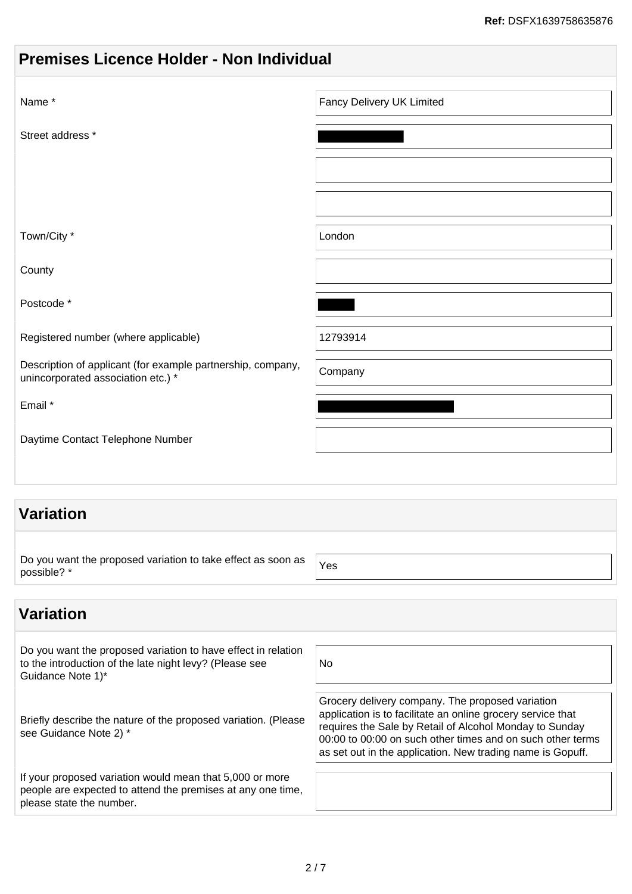|  |  | <b>Premises Licence Holder - Non Individual</b> |
|--|--|-------------------------------------------------|
|  |  |                                                 |

| Name*                                                                                             | Fancy Delivery UK Limited |
|---------------------------------------------------------------------------------------------------|---------------------------|
| Street address *                                                                                  |                           |
|                                                                                                   |                           |
|                                                                                                   |                           |
| Town/City *                                                                                       | London                    |
| County                                                                                            |                           |
| Postcode*                                                                                         |                           |
| Registered number (where applicable)                                                              | 12793914                  |
| Description of applicant (for example partnership, company,<br>unincorporated association etc.) * | Company                   |
| Email *                                                                                           |                           |
| Daytime Contact Telephone Number                                                                  |                           |
|                                                                                                   |                           |

# **Variation**

| Do you want the proposed variation to take effect as soon as |            |
|--------------------------------------------------------------|------------|
| possible? *                                                  | <b>Yes</b> |
|                                                              |            |

# **Variation**

| Do you want the proposed variation to have effect in relation<br>to the introduction of the late night levy? (Please see<br>Guidance Note 1)*       | No                                                                                                                                                                                                                                                                                                     |
|-----------------------------------------------------------------------------------------------------------------------------------------------------|--------------------------------------------------------------------------------------------------------------------------------------------------------------------------------------------------------------------------------------------------------------------------------------------------------|
| Briefly describe the nature of the proposed variation. (Please<br>see Guidance Note 2) *                                                            | Grocery delivery company. The proposed variation<br>application is to facilitate an online grocery service that<br>requires the Sale by Retail of Alcohol Monday to Sunday<br>00:00 to 00:00 on such other times and on such other terms<br>as set out in the application. New trading name is Gopuff. |
| If your proposed variation would mean that 5,000 or more<br>people are expected to attend the premises at any one time,<br>please state the number. |                                                                                                                                                                                                                                                                                                        |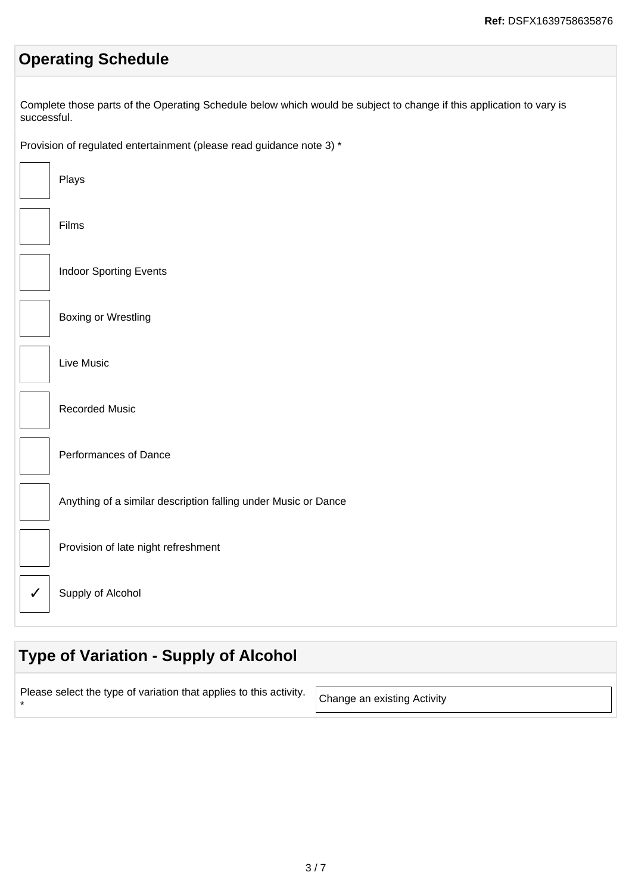# **Operating Schedule**

Complete those parts of the Operating Schedule below which would be subject to change if this application to vary is successful.

Provision of regulated entertainment (please read guidance note 3) \*

| Plays                                                          |
|----------------------------------------------------------------|
| Films                                                          |
| <b>Indoor Sporting Events</b>                                  |
| <b>Boxing or Wrestling</b>                                     |
| Live Music                                                     |
| <b>Recorded Music</b>                                          |
| Performances of Dance                                          |
| Anything of a similar description falling under Music or Dance |
| Provision of late night refreshment                            |
| Supply of Alcohol                                              |

# **Type of Variation - Supply of Alcohol**

| . ease select the type of variation that applies to this activity. $\vert$ Change an existing Activity |  |
|--------------------------------------------------------------------------------------------------------|--|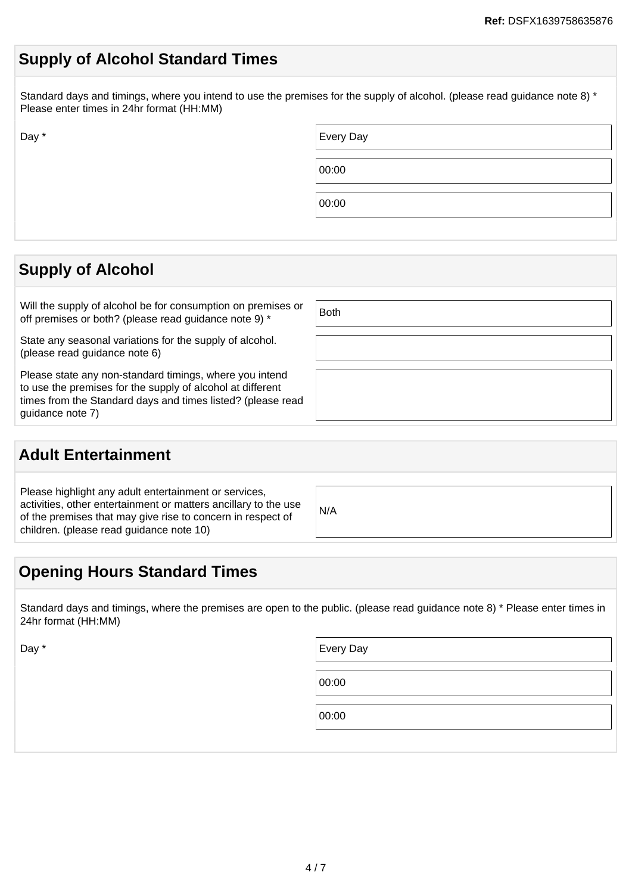### **Supply of Alcohol Standard Times**

Standard days and timings, where you intend to use the premises for the supply of alcohol. (please read guidance note 8) \* Please enter times in 24hr format (HH:MM)

| Day * | Every Day |
|-------|-----------|
|       | 00:00     |
|       | 00:00     |

### **Supply of Alcohol**

Will the supply of alcohol be for consumption on premises or For the supply of alcoriol be for consumption on premises or  $\left\vert$  Both off premises or both? (please read guidance note 9)  $^*$ 

State any seasonal variations for the supply of alcohol. (please read guidance note 6)

Please state any non-standard timings, where you intend to use the premises for the supply of alcohol at different times from the Standard days and times listed? (please read guidance note 7)

### **Adult Entertainment**

Please highlight any adult entertainment or services, activities, other entertainment or matters ancillary to the use of the premises that may give rise to concern in respect of children. (please read guidance note 10)

#### N/A

### **Opening Hours Standard Times**

Standard days and timings, where the premises are open to the public. (please read guidance note 8) \* Please enter times in 24hr format (HH:MM)

Day \* Every Day \* Every Day \* Every Day \* Every Day \* Every Day \* Every Day \* Every Day \*

00:00

00:00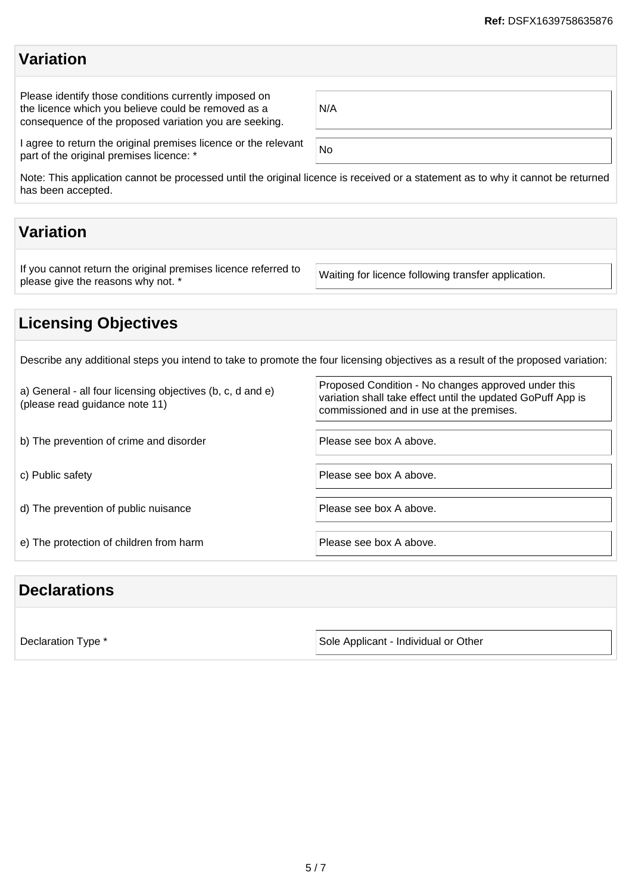### **Variation**

Please identify those conditions currently imposed on the licence which you believe could be removed as a consequence of the proposed variation you are seeking.

| N/A |  |  |  |
|-----|--|--|--|
|     |  |  |  |

I agree to return the original premises licence or the relevant r agree to return the original premises licence or the relevant<br>part of the original premises licence: \*

Note: This application cannot be processed until the original licence is received or a statement as to why it cannot be returned has been accepted.

# **Variation**

If you cannot return the original premises licence referred to If you cannot return the original premises licence referred to Waiting for licence following transfer application.<br>please give the reasons why not. \*

# **Licensing Objectives**

Describe any additional steps you intend to take to promote the four licensing objectives as a result of the proposed variation:

| a) General - all four licensing objectives (b, c, d and e)<br>(please read guidance note 11) | Proposed Condition - No changes approved under this<br>variation shall take effect until the updated GoPuff App is<br>commissioned and in use at the premises. |
|----------------------------------------------------------------------------------------------|----------------------------------------------------------------------------------------------------------------------------------------------------------------|
| b) The prevention of crime and disorder                                                      | Please see box A above.                                                                                                                                        |
| c) Public safety                                                                             | Please see box A above.                                                                                                                                        |
| d) The prevention of public nuisance                                                         | Please see box A above.                                                                                                                                        |
| e) The protection of children from harm                                                      | Please see box A above.                                                                                                                                        |

### **Declarations**

Declaration Type \* Sole Applicant - Individual or Other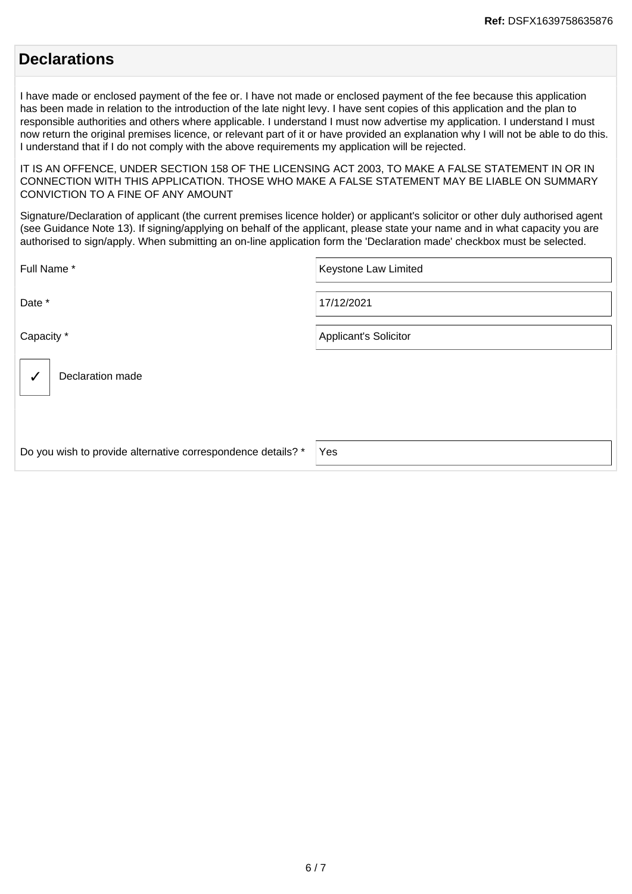### **Declarations**

I have made or enclosed payment of the fee or. I have not made or enclosed payment of the fee because this application has been made in relation to the introduction of the late night levy. I have sent copies of this application and the plan to responsible authorities and others where applicable. I understand I must now advertise my application. I understand I must now return the original premises licence, or relevant part of it or have provided an explanation why I will not be able to do this. I understand that if I do not comply with the above requirements my application will be rejected.

IT IS AN OFFENCE, UNDER SECTION 158 OF THE LICENSING ACT 2003, TO MAKE A FALSE STATEMENT IN OR IN CONNECTION WITH THIS APPLICATION. THOSE WHO MAKE A FALSE STATEMENT MAY BE LIABLE ON SUMMARY CONVICTION TO A FINE OF ANY AMOUNT

Signature/Declaration of applicant (the current premises licence holder) or applicant's solicitor or other duly authorised agent (see Guidance Note 13). If signing/applying on behalf of the applicant, please state your name and in what capacity you are authorised to sign/apply. When submitting an on-line application form the 'Declaration made' checkbox must be selected.

| Full Name*                                                   | Keystone Law Limited         |
|--------------------------------------------------------------|------------------------------|
| Date *                                                       | 17/12/2021                   |
| Capacity *                                                   | <b>Applicant's Solicitor</b> |
| Declaration made                                             |                              |
| Do you wish to provide alternative correspondence details? * | Yes                          |